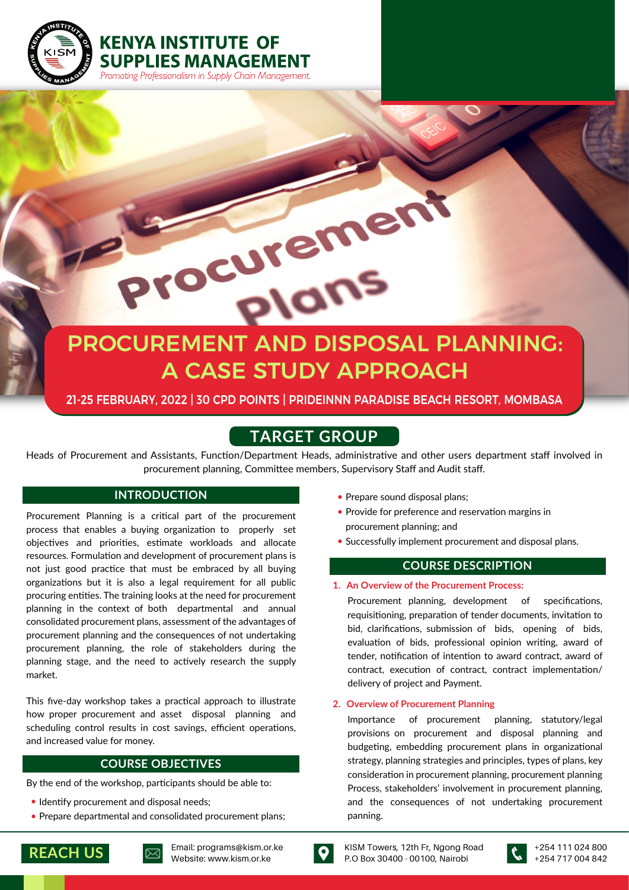

**KENYA INSTITUTE OF** 

**SUPPLIES MANAGEMENT** Promoting Professionalism in Supply Chain Management.

# PROCUREMENT AND DISPOSAL PLANNING: A CASE STUDY APPROACH

# 21-25 FEBRUARY, 2022 | 30 CPD POINTS | PRIDEINNN PARADISE BEACH RESORT, MOMBASA

# **TARGET GROUP**

Heads of Procurement and Assistants, Function/Department Heads, administrative and other users department staff involved in procurement planning, Committee members, Supervisory Staff and Audit staff.

Procurement Planning is a critical part of the procurement process that enables a buying organization to properly set objectives and priorities, estimate workloads and allocate resources. Formulation and development of procurement plans is not just good practice that must be embraced by all buying organizations but it is also a legal requirement for all public procuring entities. The training looks at the need for procurement planning in the context of both departmental and annual consolidated procurement plans, assessment of the advantages of procurement planning and the consequences of not undertaking procurement planning, the role of stakeholders during the planning stage, and the need to actively research the supply market.

This five-day workshop takes a practical approach to illustrate how proper procurement and asset disposal planning and scheduling control results in cost savings, efficient operations, and increased value for money.

## **COURSE OBJECTIVES**

By the end of the workshop, participants should be able to:

- Identify procurement and disposal needs;
- Prepare departmental and consolidated procurement plans;
- **INTRODUCTION** Prepare sound disposal plans;
	- Provide for preference and reservation margins in procurement planning; and
	- Successfully implement procurement and disposal plans.

# **COURSE DESCRIPTION**

#### **1. An Overview of the Procurement Process:**

Procurement planning, development of specifications, requisitioning, preparation of tender documents, invitation to bid, clarifications, submission of bids, opening of bids, evaluation of bids, professional opinion writing, award of tender, notification of intention to award contract, award of contract, execution of contract, contract implementation/ delivery of project and Payment.

#### **2. Overview of Procurement Planning**

Importance of procurement planning, statutory/legal provisions on procurement and disposal planning and budgeting, embedding procurement plans in organizational strategy, planning strategies and principles, types of plans, key consideration in procurement planning, procurement planning Process, stakeholders' involvement in procurement planning, and the consequences of not undertaking procurement panning.